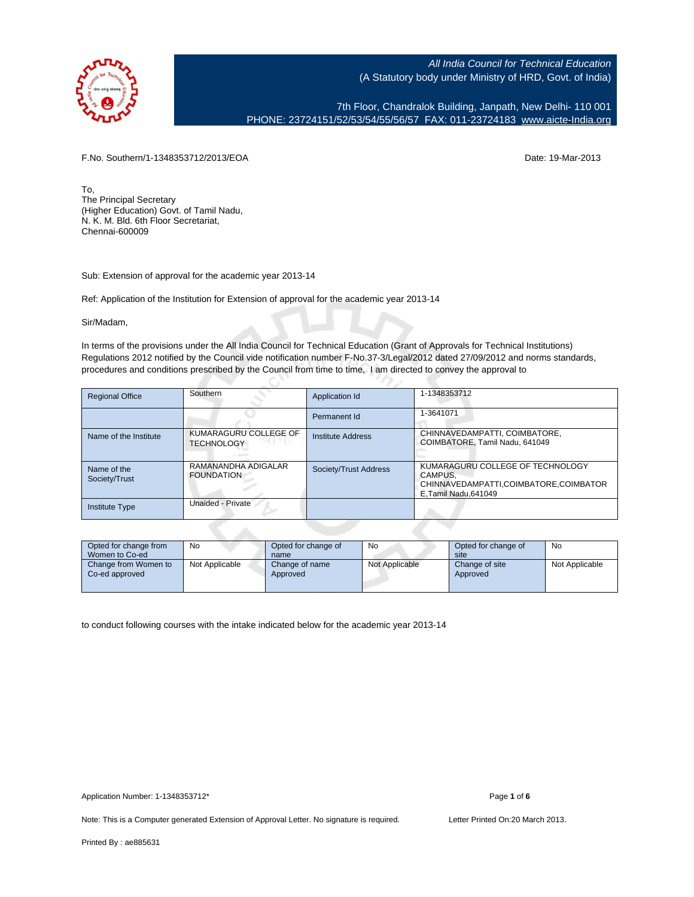

7th Floor, Chandralok Building, Janpath, New Delhi- 110 001 PHONE: 23724151/52/53/54/55/56/57 FAX: 011-23724183 [www.aicte-India.org](http://www.aicte-India.org)

F.No. Southern/1-1348353712/2013/EOA Date: 19-Mar-2013

To, The Principal Secretary (Higher Education) Govt. of Tamil Nadu, N. K. M. Bld. 6th Floor Secretariat, Chennai-600009

Sub: Extension of approval for the academic year 2013-14

Ref: Application of the Institution for Extension of approval for the academic year 2013-14

с.

Sir/Madam,

In terms of the provisions under the All India Council for Technical Education (Grant of Approvals for Technical Institutions) Regulations 2012 notified by the Council vide notification number F-No.37-3/Legal/2012 dated 27/09/2012 and norms standards, procedures and conditions prescribed by the Council from time to time, I am directed to convey the approval to

| <b>Regional Office</b>       | Southern                                   | Application Id           | 1-1348353712                                                                                                |
|------------------------------|--------------------------------------------|--------------------------|-------------------------------------------------------------------------------------------------------------|
|                              |                                            | Permanent Id             | 1-3641071                                                                                                   |
| Name of the Institute        | KUMARAGURU COLLEGE OF<br><b>TECHNOLOGY</b> | <b>Institute Address</b> | CHINNAVEDAMPATTI, COIMBATORE,<br>COIMBATORE, Tamil Nadu, 641049                                             |
| Name of the<br>Society/Trust | RAMANANDHA ADIGALAR<br><b>FOUNDATION</b>   | Society/Trust Address    | KUMARAGURU COLLEGE OF TECHNOLOGY<br>CAMPUS.<br>CHINNAVEDAMPATTI,COIMBATORE,COIMBATOR<br>E.Tamil Nadu.641049 |
| <b>Institute Type</b>        | Unaided - Private                          |                          |                                                                                                             |
|                              |                                            |                          |                                                                                                             |

| Opted for change from<br>Women to Co-ed | No             | Opted for change of<br>name | No             | Opted for change of<br>site | No             |
|-----------------------------------------|----------------|-----------------------------|----------------|-----------------------------|----------------|
| Change from Women to<br>Co-ed approved  | Not Applicable | Change of name<br>Approved  | Not Applicable | Change of site<br>Approved  | Not Applicable |

to conduct following courses with the intake indicated below for the academic year 2013-14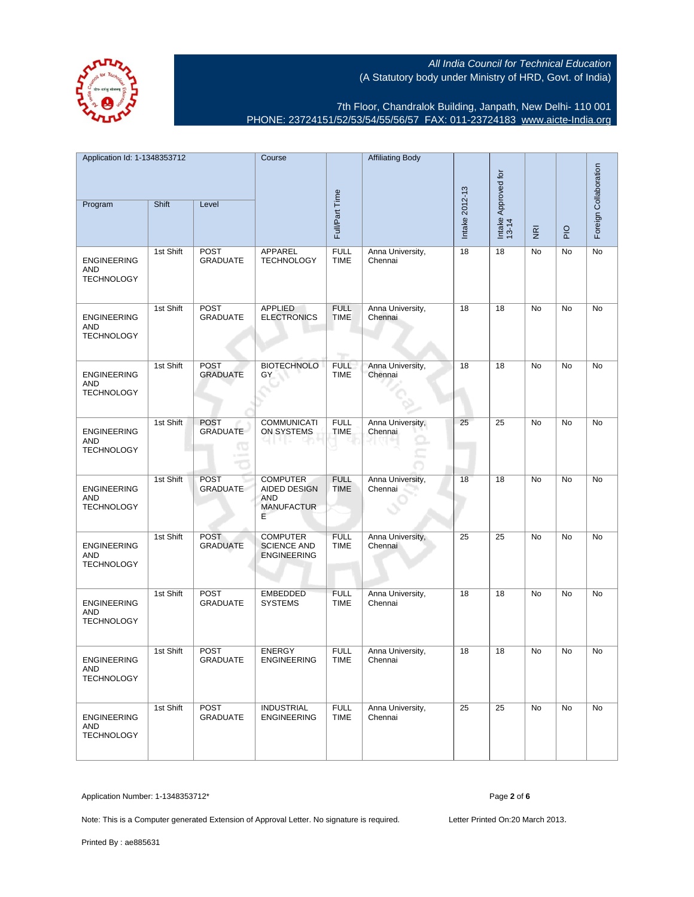

7th Floor, Chandralok Building, Janpath, New Delhi- 110 001 PHONE: 23724151/52/53/54/55/56/57 FAX: 011-23724183 [www.aicte-India.org](http://www.aicte-India.org)

| Application Id: 1-1348353712<br>Program               | Shift     | Level                                       | Course                                                                  | Full/Part Time                     | <b>Affiliating Body</b>     | Intake 2012-13 | Intake Approved for<br>13-14 |                                     |             | Foreign Collaboration |
|-------------------------------------------------------|-----------|---------------------------------------------|-------------------------------------------------------------------------|------------------------------------|-----------------------------|----------------|------------------------------|-------------------------------------|-------------|-----------------------|
|                                                       |           |                                             |                                                                         |                                    |                             |                |                              | $\overline{\underline{\mathbf{g}}}$ | $rac{O}{P}$ |                       |
| <b>ENGINEERING</b><br><b>AND</b><br><b>TECHNOLOGY</b> | 1st Shift | <b>POST</b><br><b>GRADUATE</b>              | APPAREL<br><b>TECHNOLOGY</b>                                            | <b>FULL</b><br><b>TIME</b>         | Anna University,<br>Chennai | 18             | 18                           | No                                  | No          | No                    |
| <b>ENGINEERING</b><br>AND<br><b>TECHNOLOGY</b>        | 1st Shift | <b>POST</b><br><b>GRADUATE</b>              | <b>APPLIED</b><br><b>ELECTRONICS</b>                                    | <b>FULL</b><br><b>TIME</b><br>n er | Anna University,<br>Chennai | 18             | 18                           | No                                  | <b>No</b>   | No                    |
| <b>ENGINEERING</b><br>AND<br><b>TECHNOLOGY</b>        | 1st Shift | <b>POST</b><br><b>GRADUATE</b>              | <b>BIOTECHNOLO</b><br>GY                                                | <b>FULL</b><br><b>TIME</b>         | Anna University,<br>Chennai | 18             | 18                           | No                                  | No          | No                    |
| <b>ENGINEERING</b><br>AND<br><b>TECHNOLOGY</b>        | 1st Shift | <b>POST</b><br><b>GRADUATE</b><br><b>CO</b> | COMMUNICATI<br>ON SYSTEMS                                               | <b>FULL</b><br><b>TIME</b>         | Anna University,<br>Chennai | 25             | 25                           | No                                  | No          | No                    |
| <b>ENGINEERING</b><br><b>AND</b><br><b>TECHNOLOGY</b> | 1st Shift | <b>POST</b><br><b>GRADUATE</b>              | <b>COMPUTER</b><br>AIDED DESIGN<br><b>AND</b><br><b>MANUFACTUR</b><br>Е | <b>FULL</b><br><b>TIME</b>         | Anna University,<br>Chennai | 18             | 18                           | No                                  | No          | No                    |
| <b>ENGINEERING</b><br>AND<br><b>TECHNOLOGY</b>        | 1st Shift | <b>POST</b><br><b>GRADUATE</b>              | <b>COMPUTER</b><br><b>SCIENCE AND</b><br><b>ENGINEERING</b>             | <b>FULL</b><br><b>TIME</b>         | Anna University,<br>Chennai | 25             | 25                           | No                                  | No          | No                    |
| <b>ENGINEERING</b><br>AND<br><b>TECHNOLOGY</b>        | 1st Shift | POST<br><b>GRADUATE</b>                     | <b>EMBEDDED</b><br><b>SYSTEMS</b>                                       | <b>FULL</b><br><b>TIME</b>         | Anna University,<br>Chennai | 18             | 18                           | No                                  | No          | No                    |
| <b>ENGINEERING</b><br>AND<br><b>TECHNOLOGY</b>        | 1st Shift | <b>POST</b><br><b>GRADUATE</b>              | <b>ENERGY</b><br><b>ENGINEERING</b>                                     | <b>FULL</b><br><b>TIME</b>         | Anna University,<br>Chennai | 18             | 18                           | No                                  | No          | No                    |
| <b>ENGINEERING</b><br>AND<br><b>TECHNOLOGY</b>        | 1st Shift | POST<br><b>GRADUATE</b>                     | <b>INDUSTRIAL</b><br><b>ENGINEERING</b>                                 | <b>FULL</b><br><b>TIME</b>         | Anna University,<br>Chennai | 25             | 25                           | No                                  | <b>No</b>   | No                    |

Application Number: 1-1348353712\* Page **2** of **6**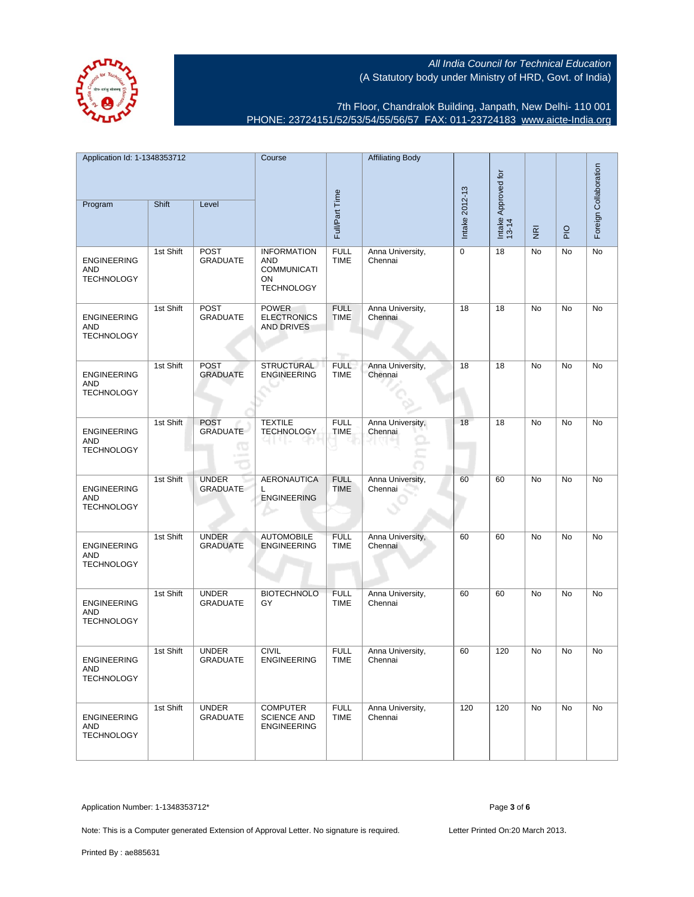(A Statutory body under Ministry of HRD, Govt. of India)



7th Floor, Chandralok Building, Janpath, New Delhi- 110 001 PHONE: 23724151/52/53/54/55/56/57 FAX: 011-23724183 [www.aicte-India.org](http://www.aicte-India.org)

All India Council for Technical Education

| Application Id: 1-1348353712<br>Program        | Shift     | Level                                       | Course                                                                     | Full/Part Time                             | <b>Affiliating Body</b>     | Intake 2012-13 | Intake Approved for<br>13-14 | $\overline{\underline{\mathbf{g}}}$ | $\frac{1}{2}$ | Foreign Collaboration |
|------------------------------------------------|-----------|---------------------------------------------|----------------------------------------------------------------------------|--------------------------------------------|-----------------------------|----------------|------------------------------|-------------------------------------|---------------|-----------------------|
| <b>ENGINEERING</b><br>AND<br><b>TECHNOLOGY</b> | 1st Shift | <b>POST</b><br><b>GRADUATE</b>              | <b>INFORMATION</b><br>AND<br><b>COMMUNICATI</b><br>ON<br><b>TECHNOLOGY</b> | <b>FULL</b><br><b>TIME</b>                 | Anna University,<br>Chennai | 0              | 18                           | No                                  | No            | No                    |
| <b>ENGINEERING</b><br>AND<br><b>TECHNOLOGY</b> | 1st Shift | POST<br><b>GRADUATE</b>                     | <b>POWER</b><br><b>ELECTRONICS</b><br><b>AND DRIVES</b>                    | <b>FULL</b><br><b>TIME</b><br><b>Tarry</b> | Anna University,<br>Chennai | 18             | 18                           | No                                  | No            | No                    |
| <b>ENGINEERING</b><br>AND<br><b>TECHNOLOGY</b> | 1st Shift | <b>POST</b><br><b>GRADUATE</b>              | <b>STRUCTURAL</b><br><b>ENGINEERING</b>                                    | <b>FULL</b><br><b>TIME</b>                 | Anna University,<br>Chennai | 18             | 18                           | No                                  | No            | No                    |
| <b>ENGINEERING</b><br>AND<br><b>TECHNOLOGY</b> | 1st Shift | <b>POST</b><br><b>GRADUATE</b><br><b>TO</b> | <b>TEXTILE</b><br><b>TECHNOLOGY</b>                                        | <b>FULL</b><br><b>TIME</b>                 | Anna University,<br>Chennai | 18             | 18                           | No                                  | No            | No                    |
| <b>ENGINEERING</b><br>AND<br><b>TECHNOLOGY</b> | 1st Shift | <b>UNDER</b><br><b>GRADUATE</b>             | <b>AERONAUTICA</b><br>L<br><b>ENGINEERING</b>                              | <b>FULL</b><br><b>TIME</b>                 | Anna University,<br>Chennai | 60             | 60                           | <b>No</b>                           | No            | No                    |
| <b>ENGINEERING</b><br>AND<br><b>TECHNOLOGY</b> | 1st Shift | <b>UNDER</b><br><b>GRADUATE</b>             | <b>AUTOMOBILE</b><br><b>ENGINEERING</b>                                    | <b>FULL</b><br><b>TIME</b>                 | Anna University,<br>Chennai | 60             | 60                           | No                                  | No            | No                    |
| <b>ENGINEERING</b><br>AND<br><b>TECHNOLOGY</b> | 1st Shift | <b>UNDER</b><br><b>GRADUATE</b>             | <b>BIOTECHNOLO</b><br>GY                                                   | <b>FULL</b><br><b>TIME</b>                 | Anna University,<br>Chennai | 60             | 60                           | No                                  | No            | No                    |
| <b>ENGINEERING</b><br>AND<br><b>TECHNOLOGY</b> | 1st Shift | <b>UNDER</b><br><b>GRADUATE</b>             | <b>CIVIL</b><br><b>ENGINEERING</b>                                         | <b>FULL</b><br><b>TIME</b>                 | Anna University,<br>Chennai | 60             | 120                          | No                                  | No            | No                    |
| <b>ENGINEERING</b><br>AND<br><b>TECHNOLOGY</b> | 1st Shift | <b>UNDER</b><br><b>GRADUATE</b>             | <b>COMPUTER</b><br><b>SCIENCE AND</b><br><b>ENGINEERING</b>                | <b>FULL</b><br><b>TIME</b>                 | Anna University,<br>Chennai | 120            | 120                          | No                                  | No            | No                    |

Application Number: 1-1348353712\* Page **3** of **6**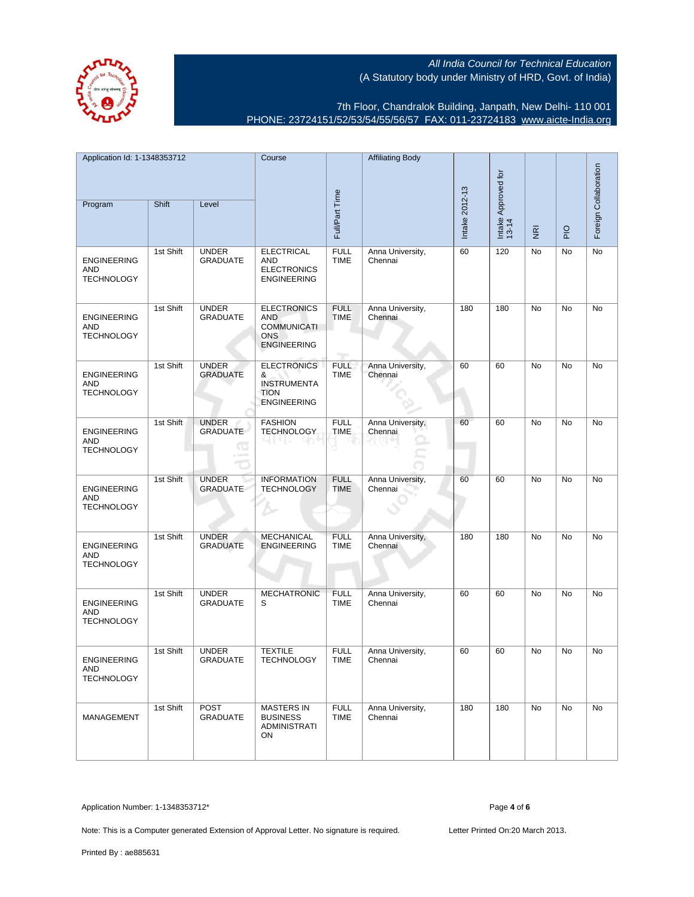7th Floor, Chandralok Building, Janpath, New Delhi- 110 001 PHONE: 23724151/52/53/54/55/56/57 FAX: 011-23724183 [www.aicte-India.org](http://www.aicte-India.org)

| Application Id: 1-1348353712<br>Program               | Shift     | Level                                | Course                                                                                     | Full/Part Time                            | <b>Affiliating Body</b>     | Intake 2012-13 | Intake Approved for<br>13-14 |                |             | Foreign Collaboration |
|-------------------------------------------------------|-----------|--------------------------------------|--------------------------------------------------------------------------------------------|-------------------------------------------|-----------------------------|----------------|------------------------------|----------------|-------------|-----------------------|
|                                                       |           |                                      |                                                                                            |                                           |                             |                |                              | $\overline{g}$ | $rac{O}{P}$ |                       |
| <b>ENGINEERING</b><br><b>AND</b><br><b>TECHNOLOGY</b> | 1st Shift | <b>UNDER</b><br><b>GRADUATE</b>      | <b>ELECTRICAL</b><br>AND<br><b>ELECTRONICS</b><br><b>ENGINEERING</b>                       | <b>FULL</b><br><b>TIME</b>                | Anna University,<br>Chennai | 60             | 120                          | No             | No          | No                    |
| <b>ENGINEERING</b><br>AND<br><b>TECHNOLOGY</b>        | 1st Shift | <b>UNDER</b><br><b>GRADUATE</b>      | <b>ELECTRONICS</b><br><b>AND</b><br><b>COMMUNICATI</b><br><b>ONS</b><br><b>ENGINEERING</b> | <b>FULL</b><br><b>TIME</b><br><b>Tips</b> | Anna University,<br>Chennai | 180            | 180                          | No             | No          | No                    |
| <b>ENGINEERING</b><br>AND<br><b>TECHNOLOGY</b>        | 1st Shift | <b>UNDER</b><br><b>GRADUATE</b>      | <b>ELECTRONICS</b><br>&<br><b>INSTRUMENTA</b><br><b>TION</b><br><b>ENGINEERING</b>         | <b>FULL</b><br><b>TIME</b>                | Anna University,<br>Chennai | 60             | 60                           | No             | No          | No                    |
| <b>ENGINEERING</b><br>AND<br><b>TECHNOLOGY</b>        | 1st Shift | <b>UNDER</b><br><b>GRADUATE</b><br>Œ | <b>FASHION</b><br><b>TECHNOLOGY</b>                                                        | <b>FULL</b><br><b>TIME</b>                | Anna University,<br>Chennai | 60             | 60                           | No             | No          | No                    |
| <b>ENGINEERING</b><br><b>AND</b><br><b>TECHNOLOGY</b> | 1st Shift | <b>UNDER</b><br><b>GRADUATE</b>      | <b>INFORMATION</b><br><b>TECHNOLOGY</b>                                                    | <b>FULL</b><br><b>TIME</b>                | Anna University,<br>Chennai | 60             | 60                           | No             | No          | No                    |
| <b>ENGINEERING</b><br>AND<br><b>TECHNOLOGY</b>        | 1st Shift | <b>UNDER</b><br><b>GRADUATE</b>      | <b>MECHANICAL</b><br><b>ENGINEERING</b>                                                    | <b>FULL</b><br><b>TIME</b>                | Anna University,<br>Chennai | 180            | 180                          | No             | No          | No                    |
| <b>ENGINEERING</b><br>AND<br><b>TECHNOLOGY</b>        | 1st Shift | <b>UNDER</b><br><b>GRADUATE</b>      | <b>MECHATRONIC</b><br>S                                                                    | <b>FULL</b><br><b>TIME</b>                | Anna University,<br>Chennai | 60             | 60                           | No             | No          | No                    |
| <b>ENGINEERING</b><br><b>AND</b><br><b>TECHNOLOGY</b> | 1st Shift | <b>UNDER</b><br><b>GRADUATE</b>      | <b>TEXTILE</b><br><b>TECHNOLOGY</b>                                                        | <b>FULL</b><br><b>TIME</b>                | Anna University,<br>Chennai | 60             | 60                           | No             | <b>No</b>   | No                    |
| MANAGEMENT                                            | 1st Shift | POST<br><b>GRADUATE</b>              | <b>MASTERS IN</b><br><b>BUSINESS</b><br><b>ADMINISTRATI</b><br>ON                          | <b>FULL</b><br><b>TIME</b>                | Anna University,<br>Chennai | 180            | 180                          | No             | No          | No                    |

Application Number: 1-1348353712\* Page **4** of **6**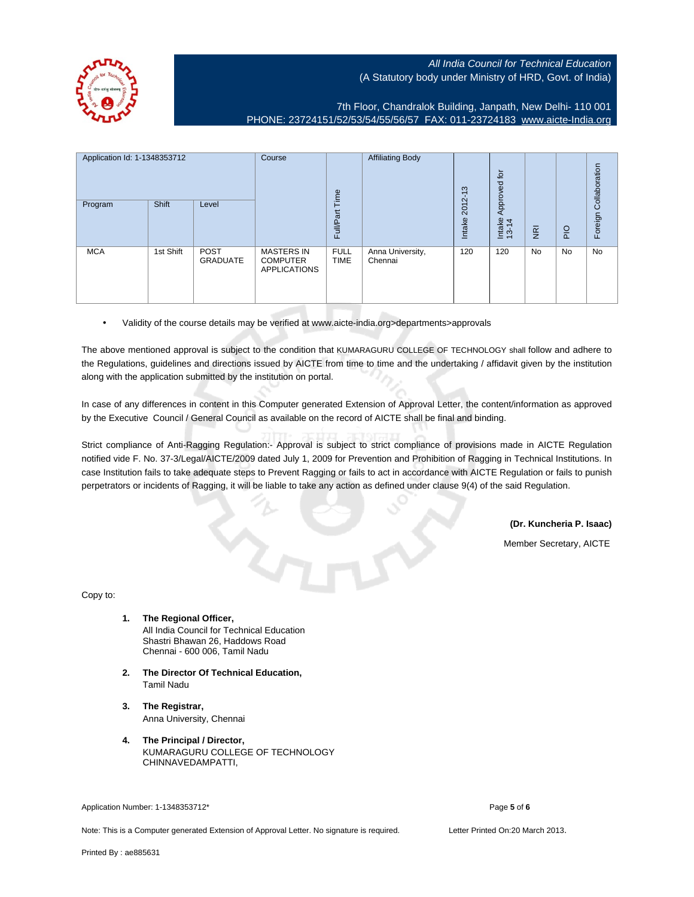7th Floor, Chandralok Building, Janpath, New Delhi- 110 001 PHONE: 23724151/52/53/54/55/56/57 FAX: 011-23724183 [www.aicte-India.org](http://www.aicte-India.org)

| Application Id: 1-1348353712 |              | Course                         | Time                                                        | <b>Affiliating Body</b>    | ന                           | $\overleftarrow{\text{or}}$<br>Approved |                 |                     |     |                       |
|------------------------------|--------------|--------------------------------|-------------------------------------------------------------|----------------------------|-----------------------------|-----------------------------------------|-----------------|---------------------|-----|-----------------------|
| Program                      | <b>Shift</b> | Level                          |                                                             | Full/Part                  |                             | $2012 - 1$<br>Intake                    | Intake<br>13-14 | –<br>$\overline{g}$ | PIO | Foreign Collaboration |
| <b>MCA</b>                   | 1st Shift    | <b>POST</b><br><b>GRADUATE</b> | <b>MASTERS IN</b><br><b>COMPUTER</b><br><b>APPLICATIONS</b> | <b>FULL</b><br><b>TIME</b> | Anna University,<br>Chennai | 120                                     | 120             | <b>No</b>           | No  | No                    |

• Validity of the course details may be verified at www.aicte-india.org>departments>approvals

The above mentioned approval is subject to the condition that KUMARAGURU COLLEGE OF TECHNOLOGY shall follow and adhere to the Regulations, guidelines and directions issued by AICTE from time to time and the undertaking / affidavit given by the institution along with the application submitted by the institution on portal.

In case of any differences in content in this Computer generated Extension of Approval Letter, the content/information as approved by the Executive Council / General Council as available on the record of AICTE shall be final and binding.

Strict compliance of Anti-Ragging Regulation:- Approval is subject to strict compliance of provisions made in AICTE Regulation notified vide F. No. 37-3/Legal/AICTE/2009 dated July 1, 2009 for Prevention and Prohibition of Ragging in Technical Institutions. In case Institution fails to take adequate steps to Prevent Ragging or fails to act in accordance with AICTE Regulation or fails to punish perpetrators or incidents of Ragging, it will be liable to take any action as defined under clause 9(4) of the said Regulation.

**(Dr. Kuncheria P. Isaac)**

Member Secretary, AICTE

Copy to:

- **1. The Regional Officer,** All India Council for Technical Education Shastri Bhawan 26, Haddows Road Chennai - 600 006, Tamil Nadu
- **2. The Director Of Technical Education,** Tamil Nadu
- **3. The Registrar,** Anna University, Chennai
- **4. The Principal / Director,** KUMARAGURU COLLEGE OF TECHNOLOGY CHINNAVEDAMPATTI,

Application Number: 1-1348353712\* Page **5** of **6**